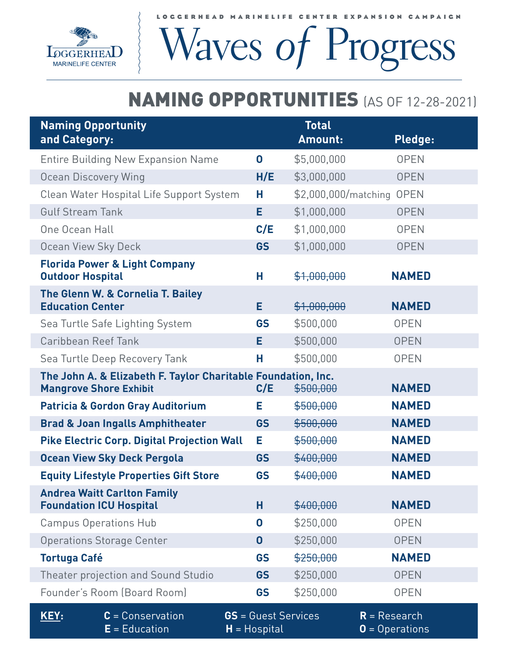

**LOGGERHEAD MARINELIFE CENTER EXPANSION CAMPAIGN**

## Waves *of* Progress

## **NAMING OPPORTUNITIES** (AS OF 12-28-2021)

| <b>Naming Opportunity</b><br>and Category:                                                                                         |                                               | <b>Total</b><br>Amount:   | <b>Pledge:</b>                     |  |  |
|------------------------------------------------------------------------------------------------------------------------------------|-----------------------------------------------|---------------------------|------------------------------------|--|--|
| <b>Entire Building New Expansion Name</b>                                                                                          | $\mathbf 0$                                   | \$5,000,000               | <b>OPEN</b>                        |  |  |
| <b>Ocean Discovery Wing</b>                                                                                                        | H/E                                           | \$3,000,000               | <b>OPEN</b>                        |  |  |
| Clean Water Hospital Life Support System                                                                                           | н                                             | \$2,000,000/matching OPEN |                                    |  |  |
| <b>Gulf Stream Tank</b>                                                                                                            | Е                                             | \$1,000,000               | <b>OPEN</b>                        |  |  |
| One Ocean Hall                                                                                                                     | C/E                                           | \$1,000,000               | <b>OPEN</b>                        |  |  |
| Ocean View Sky Deck                                                                                                                | <b>GS</b>                                     | \$1,000,000               | <b>OPEN</b>                        |  |  |
| <b>Florida Power &amp; Light Company</b>                                                                                           |                                               |                           |                                    |  |  |
| <b>Outdoor Hospital</b>                                                                                                            | н                                             | \$1,000,000               | <b>NAMED</b>                       |  |  |
| The Glenn W. & Cornelia T. Bailey<br><b>Education Center</b>                                                                       | Е                                             | \$1,000,000               | <b>NAMED</b>                       |  |  |
| Sea Turtle Safe Lighting System                                                                                                    | <b>GS</b>                                     | \$500,000                 | <b>OPEN</b>                        |  |  |
| Caribbean Reef Tank                                                                                                                | Е                                             | \$500,000                 | <b>OPEN</b>                        |  |  |
| Sea Turtle Deep Recovery Tank                                                                                                      | н                                             | \$500,000                 | <b>OPEN</b>                        |  |  |
| The John A. & Elizabeth F. Taylor Charitable Foundation, Inc.<br><b>NAMED</b><br>C/E<br><b>Mangrove Shore Exhibit</b><br>\$500,000 |                                               |                           |                                    |  |  |
| <b>Patricia &amp; Gordon Gray Auditorium</b>                                                                                       | Е                                             | \$500,000                 | <b>NAMED</b>                       |  |  |
| <b>Brad &amp; Joan Ingalls Amphitheater</b>                                                                                        | <b>GS</b>                                     | \$500,000                 | <b>NAMED</b>                       |  |  |
| <b>Pike Electric Corp. Digital Projection Wall</b>                                                                                 | Е                                             | \$500,000                 | <b>NAMED</b>                       |  |  |
| <b>Ocean View Sky Deck Pergola</b>                                                                                                 | <b>GS</b>                                     | \$400,000                 | <b>NAMED</b>                       |  |  |
| <b>Equity Lifestyle Properties Gift Store</b>                                                                                      | GS                                            | \$400,000                 | <b>NAMED</b>                       |  |  |
| <b>Andrea Waitt Carlton Family</b><br><b>Foundation ICU Hospital</b>                                                               | н                                             | \$400,000                 | <b>NAMED</b>                       |  |  |
| <b>Campus Operations Hub</b>                                                                                                       | $\mathbf 0$                                   | \$250,000                 | <b>OPEN</b>                        |  |  |
| <b>Operations Storage Center</b>                                                                                                   | $\mathbf 0$                                   | \$250,000                 | <b>OPEN</b>                        |  |  |
| <b>Tortuga Café</b>                                                                                                                | <b>GS</b>                                     | \$250,000                 | <b>NAMED</b>                       |  |  |
| Theater projection and Sound Studio                                                                                                | <b>GS</b>                                     | \$250,000                 | <b>OPEN</b>                        |  |  |
| Founder's Room (Board Room)                                                                                                        | GS                                            | \$250,000                 | <b>OPEN</b>                        |  |  |
| $\overline{C}$ = Conservation<br><b>KEY:</b><br>$E =$ Education                                                                    | <b>GS</b> = Guest Services<br>$H = H$ ospital |                           | $R =$ Research<br>$0 =$ Operations |  |  |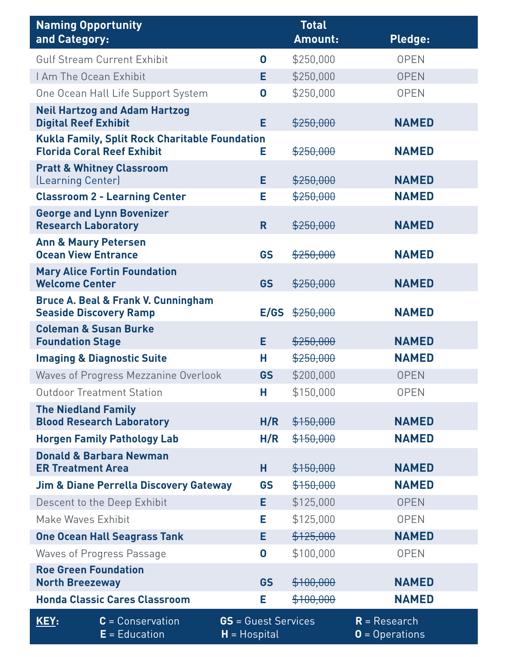| <b>Naming Opportunity</b>                                     |                                                                                            |                                               | <b>Total</b> |                                    |
|---------------------------------------------------------------|--------------------------------------------------------------------------------------------|-----------------------------------------------|--------------|------------------------------------|
| and Category:                                                 |                                                                                            |                                               | Amount:      | Pledge:                            |
|                                                               | <b>Gulf Stream Current Exhibit</b>                                                         | $\mathbf 0$                                   | \$250,000    | <b>OPEN</b>                        |
| I Am The Ocean Exhibit                                        |                                                                                            | Е                                             | \$250,000    | <b>OPEN</b>                        |
|                                                               | One Ocean Hall Life Support System                                                         | $\mathbf 0$                                   | \$250,000    | <b>OPEN</b>                        |
| <b>Digital Reef Exhibit</b>                                   | <b>Neil Hartzog and Adam Hartzog</b>                                                       | E                                             | \$250,000    | <b>NAMED</b>                       |
|                                                               | <b>Kukla Family, Split Rock Charitable Foundation</b><br><b>Florida Coral Reef Exhibit</b> | Е                                             | \$250,000    | <b>NAMED</b>                       |
| (Learning Center)                                             | <b>Pratt &amp; Whitney Classroom</b>                                                       | Е                                             | \$250,000    | <b>NAMED</b>                       |
|                                                               | <b>Classroom 2 - Learning Center</b>                                                       | Е                                             | \$250,000    | <b>NAMED</b>                       |
| <b>Research Laboratory</b>                                    | <b>George and Lynn Bovenizer</b>                                                           | R.                                            | \$250,000    | <b>NAMED</b>                       |
| <b>Ann &amp; Maury Petersen</b><br><b>Ocean View Entrance</b> |                                                                                            | <b>GS</b>                                     | \$250,000    | <b>NAMED</b>                       |
| <b>Welcome Center</b>                                         | <b>Mary Alice Fortin Foundation</b>                                                        | <b>GS</b>                                     | \$250,000    | <b>NAMED</b>                       |
| <b>Seaside Discovery Ramp</b>                                 | <b>Bruce A. Beal &amp; Frank V. Cunningham</b>                                             | E/GS                                          | \$250,000    | <b>NAMED</b>                       |
| <b>Coleman &amp; Susan Burke</b><br><b>Foundation Stage</b>   |                                                                                            | E.                                            | \$250,000    | <b>NAMED</b>                       |
|                                                               | <b>Imaging &amp; Diagnostic Suite</b>                                                      | н                                             | \$250,000    | <b>NAMED</b>                       |
|                                                               | <b>Waves of Progress Mezzanine Overlook</b>                                                | <b>GS</b>                                     | \$200,000    | <b>OPEN</b>                        |
|                                                               | <b>Outdoor Treatment Station</b>                                                           | н                                             | \$150,000    | <b>OPEN</b>                        |
| <b>The Niedland Family</b>                                    | <b>Blood Research Laboratory</b>                                                           | H/R                                           | \$150,000    | <b>NAMED</b>                       |
|                                                               | <b>Horgen Family Pathology Lab</b>                                                         | H/R                                           | \$150,000    | <b>NAMED</b>                       |
| <b>ER Treatment Area</b>                                      | <b>Donald &amp; Barbara Newman</b>                                                         | н                                             | \$150,000    | <b>NAMED</b>                       |
|                                                               | <b>Jim &amp; Diane Perrella Discovery Gateway</b>                                          | GS                                            | \$150,000    | <b>NAMED</b>                       |
|                                                               | Descent to the Deep Exhibit                                                                | Е                                             | \$125,000    | <b>OPEN</b>                        |
| Make Waves Exhibit                                            |                                                                                            | Е                                             | \$125,000    | <b>OPEN</b>                        |
|                                                               | <b>One Ocean Hall Seagrass Tank</b>                                                        | E                                             | \$125,000    | <b>NAMED</b>                       |
|                                                               | <b>Waves of Progress Passage</b>                                                           | $\mathbf 0$                                   | \$100,000    | <b>OPEN</b>                        |
| <b>Roe Green Foundation</b><br><b>North Breezeway</b>         |                                                                                            | <b>GS</b>                                     | \$100,000    | <b>NAMED</b>                       |
|                                                               | <b>Honda Classic Cares Classroom</b>                                                       | Е                                             | \$100,000    | <b>NAMED</b>                       |
| KEY:                                                          | $C =$ Conservation<br>$E =$ Education                                                      | <b>GS</b> = Guest Services<br>$H = H$ ospital |              | $R =$ Research<br>$0 =$ Operations |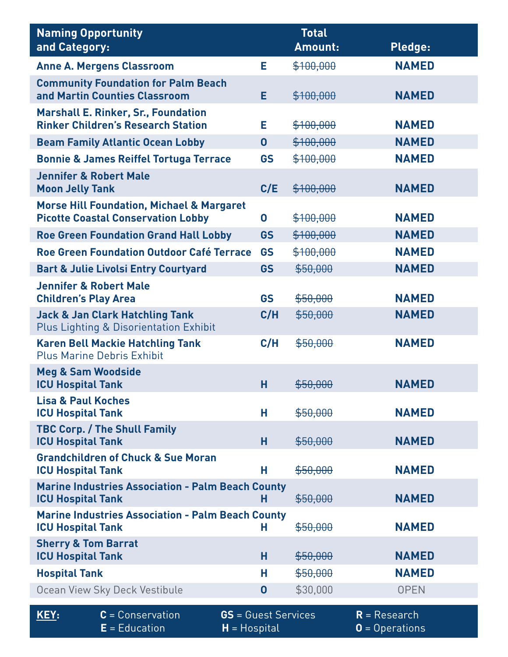| <b>Naming Opportunity</b>                                        |                                                                                                   |                                               |           | <b>Total</b> |                                    |
|------------------------------------------------------------------|---------------------------------------------------------------------------------------------------|-----------------------------------------------|-----------|--------------|------------------------------------|
| and Category:                                                    |                                                                                                   |                                               |           | Amount:      | Pledge:                            |
|                                                                  | <b>Anne A. Mergens Classroom</b>                                                                  | Е                                             |           | \$100,000    | <b>NAMED</b>                       |
|                                                                  | <b>Community Foundation for Palm Beach</b><br>and Martin Counties Classroom                       | E                                             |           | \$100,000    | <b>NAMED</b>                       |
|                                                                  | <b>Marshall E. Rinker, Sr., Foundation</b><br><b>Rinker Children's Research Station</b>           | Е                                             |           | \$100,000    | <b>NAMED</b>                       |
|                                                                  | <b>Beam Family Atlantic Ocean Lobby</b>                                                           | $\mathbf 0$                                   |           | \$100,000    | <b>NAMED</b>                       |
|                                                                  | <b>Bonnie &amp; James Reiffel Tortuga Terrace</b>                                                 |                                               | <b>GS</b> | \$100,000    | <b>NAMED</b>                       |
| <b>Jennifer &amp; Robert Male</b><br><b>Moon Jelly Tank</b>      |                                                                                                   |                                               | C/E       | \$100,000    | <b>NAMED</b>                       |
|                                                                  | <b>Morse Hill Foundation, Michael &amp; Margaret</b><br><b>Picotte Coastal Conservation Lobby</b> | $\mathbf 0$                                   |           | \$100,000    | <b>NAMED</b>                       |
|                                                                  | <b>Roe Green Foundation Grand Hall Lobby</b>                                                      |                                               | <b>GS</b> | \$100,000    | <b>NAMED</b>                       |
|                                                                  | Roe Green Foundation Outdoor Café Terrace                                                         |                                               | <b>GS</b> | \$100,000    | <b>NAMED</b>                       |
|                                                                  | <b>Bart &amp; Julie Livolsi Entry Courtyard</b>                                                   |                                               | <b>GS</b> | \$50,000     | <b>NAMED</b>                       |
| <b>Jennifer &amp; Robert Male</b><br><b>Children's Play Area</b> |                                                                                                   |                                               | <b>GS</b> | \$50,000     | <b>NAMED</b>                       |
|                                                                  | <b>Jack &amp; Jan Clark Hatchling Tank</b><br><b>Plus Lighting &amp; Disorientation Exhibit</b>   |                                               | C/H       | \$50,000     | <b>NAMED</b>                       |
|                                                                  | <b>Karen Bell Mackie Hatchling Tank</b><br><b>Plus Marine Debris Exhibit</b>                      |                                               | C/H       | \$50,000     | <b>NAMED</b>                       |
| <b>Meg &amp; Sam Woodside</b><br><b>ICU Hospital Tank</b>        |                                                                                                   | Н                                             |           | \$50,000     | <b>NAMED</b>                       |
| <b>Lisa &amp; Paul Koches</b><br><b>ICU Hospital Tank</b>        |                                                                                                   | н                                             |           | \$50,000     | <b>NAMED</b>                       |
| <b>ICU Hospital Tank</b>                                         | <b>TBC Corp. / The Shull Family</b>                                                               | н                                             |           | \$50,000     | <b>NAMED</b>                       |
| <b>ICU Hospital Tank</b>                                         | <b>Grandchildren of Chuck &amp; Sue Moran</b>                                                     | н                                             |           | \$50,000     | <b>NAMED</b>                       |
| <b>ICU Hospital Tank</b>                                         | <b>Marine Industries Association - Palm Beach County</b>                                          | н                                             |           | \$50,000     | <b>NAMED</b>                       |
| <b>ICU Hospital Tank</b>                                         | <b>Marine Industries Association - Palm Beach County</b>                                          | н                                             |           | \$50,000     | <b>NAMED</b>                       |
| <b>Sherry &amp; Tom Barrat</b><br><b>ICU Hospital Tank</b>       |                                                                                                   | н                                             |           | \$50,000     | <b>NAMED</b>                       |
| <b>Hospital Tank</b>                                             |                                                                                                   | Н                                             |           | \$50,000     | <b>NAMED</b>                       |
|                                                                  | Ocean View Sky Deck Vestibule                                                                     | $\mathbf 0$                                   |           | \$30,000     | <b>OPEN</b>                        |
| KEY:                                                             | $C =$ Conservation<br>$E =$ Education                                                             | <b>GS</b> = Guest Services<br>$H = H$ ospital |           |              | $R =$ Research<br>$0 =$ Operations |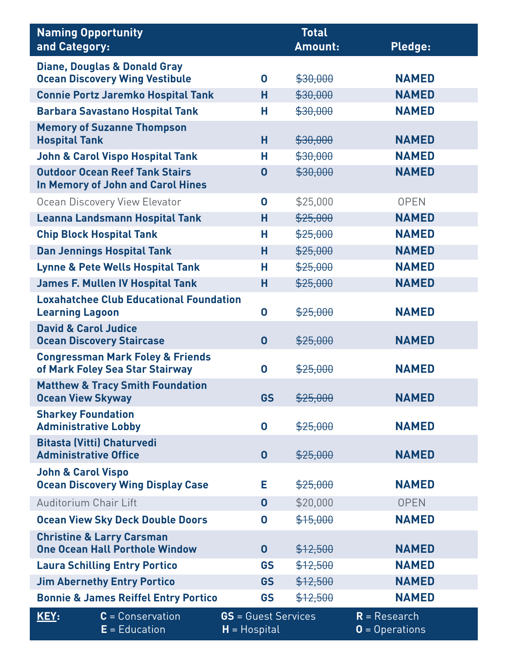| <b>Naming Opportunity</b>                                                      |                  | <b>Total</b>               |                                    |
|--------------------------------------------------------------------------------|------------------|----------------------------|------------------------------------|
| and Category:                                                                  |                  | Amount:                    | Pledge:                            |
| <b>Diane, Douglas &amp; Donald Gray</b>                                        |                  |                            |                                    |
| <b>Ocean Discovery Wing Vestibule</b>                                          | $\mathbf 0$      | \$30,000                   | <b>NAMED</b>                       |
| <b>Connie Portz Jaremko Hospital Tank</b>                                      | н                | \$30,000                   | <b>NAMED</b>                       |
| <b>Barbara Savastano Hospital Tank</b>                                         | н                | \$30,000                   | <b>NAMED</b>                       |
| <b>Memory of Suzanne Thompson</b><br><b>Hospital Tank</b>                      | н                | \$30,000                   | <b>NAMED</b>                       |
| <b>John &amp; Carol Vispo Hospital Tank</b>                                    | Н                | \$30,000                   | <b>NAMED</b>                       |
| <b>Outdoor Ocean Reef Tank Stairs</b><br>In Memory of John and Carol Hines     | $\boldsymbol{0}$ | \$30,000                   | <b>NAMED</b>                       |
| Ocean Discovery View Elevator                                                  | 0                | \$25,000                   | <b>OPEN</b>                        |
| Leanna Landsmann Hospital Tank                                                 | н                | \$25,000                   | <b>NAMED</b>                       |
| <b>Chip Block Hospital Tank</b>                                                | н                | \$25,000                   | <b>NAMED</b>                       |
| <b>Dan Jennings Hospital Tank</b>                                              | н                | \$25,000                   | <b>NAMED</b>                       |
| <b>Lynne &amp; Pete Wells Hospital Tank</b>                                    | н                | \$25,000                   | <b>NAMED</b>                       |
| <b>James F. Mullen IV Hospital Tank</b>                                        | н                | \$25,000                   | <b>NAMED</b>                       |
| <b>Loxahatchee Club Educational Foundation</b><br><b>Learning Lagoon</b>       | $\boldsymbol{0}$ | \$25,000                   | <b>NAMED</b>                       |
| <b>David &amp; Carol Judice</b><br><b>Ocean Discovery Staircase</b>            | $\bf{0}$         | \$25,000                   | <b>NAMED</b>                       |
| <b>Congressman Mark Foley &amp; Friends</b><br>of Mark Foley Sea Star Stairway | 0                | \$25,000                   | <b>NAMED</b>                       |
| <b>Matthew &amp; Tracy Smith Foundation</b><br><b>Ocean View Skyway</b>        |                  | GS<br>\$25,000             | <b>NAMED</b>                       |
| <b>Sharkey Foundation</b><br><b>Administrative Lobby</b>                       | $\boldsymbol{0}$ | \$25,000                   | <b>NAMED</b>                       |
| <b>Bitasta (Vitti) Chaturvedi</b><br><b>Administrative Office</b>              | $\mathbf 0$      | \$25,000                   | <b>NAMED</b>                       |
| <b>John &amp; Carol Vispo</b><br><b>Ocean Discovery Wing Display Case</b>      | Е                | \$25,000                   | <b>NAMED</b>                       |
| <b>Auditorium Chair Lift</b>                                                   | $\boldsymbol{0}$ | \$20,000                   | <b>OPEN</b>                        |
| <b>Ocean View Sky Deck Double Doors</b>                                        | 0                | \$15,000                   | <b>NAMED</b>                       |
| <b>Christine &amp; Larry Carsman</b><br><b>One Ocean Hall Porthole Window</b>  | $\mathbf 0$      | \$12,500                   | <b>NAMED</b>                       |
| <b>Laura Schilling Entry Portico</b>                                           |                  | \$12,500<br>GS             | <b>NAMED</b>                       |
| <b>Jim Abernethy Entry Portico</b>                                             |                  | \$12,500<br><b>GS</b>      | <b>NAMED</b>                       |
| <b>Bonnie &amp; James Reiffel Entry Portico</b>                                |                  | \$12,500<br><b>GS</b>      | <b>NAMED</b>                       |
| $C =$ Conservation<br>KEY:<br>$E =$ Education                                  | $H = H$ ospital  | <b>GS</b> = Guest Services | $R =$ Research<br>$0 =$ Operations |